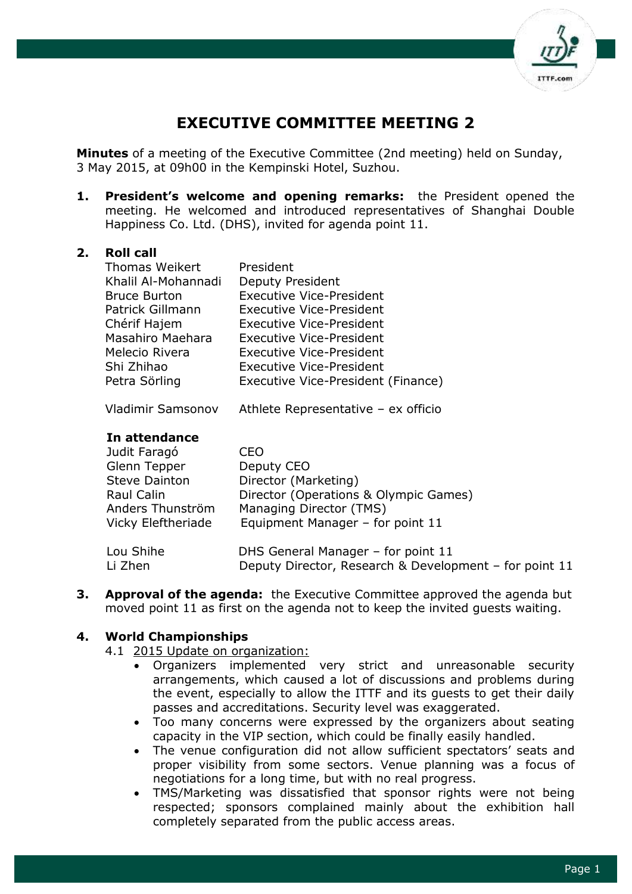

# **EXECUTIVE COMMITTEE MEETING 2**

**Minutes** of a meeting of the Executive Committee (2nd meeting) held on Sunday, 3 May 2015, at 09h00 in the Kempinski Hotel, Suzhou.

**1. President's welcome and opening remarks:** the President opened the meeting. He welcomed and introduced representatives of Shanghai Double Happiness Co. Ltd. (DHS), invited for agenda point 11.

### **2. Roll call**

| <b>Thomas Weikert</b> | President                          |
|-----------------------|------------------------------------|
| Khalil Al-Mohannadi   | Deputy President                   |
| <b>Bruce Burton</b>   | <b>Executive Vice-President</b>    |
| Patrick Gillmann      | <b>Executive Vice-President</b>    |
| Chérif Hajem          | <b>Executive Vice-President</b>    |
| Masahiro Maehara      | <b>Executive Vice-President</b>    |
| Melecio Rivera        | <b>Executive Vice-President</b>    |
| Shi Zhihao            | <b>Executive Vice-President</b>    |
| Petra Sörling         | Executive Vice-President (Finance) |
|                       |                                    |

Vladimir Samsonov Athlete Representative – ex officio

### **In attendance**

| Judit Faragó         | CEO                                                    |
|----------------------|--------------------------------------------------------|
| Glenn Tepper         | Deputy CEO                                             |
| <b>Steve Dainton</b> | Director (Marketing)                                   |
| Raul Calin           | Director (Operations & Olympic Games)                  |
| Anders Thunström     | Managing Director (TMS)                                |
| Vicky Eleftheriade   | Equipment Manager - for point 11                       |
| Lou Shihe            | DHS General Manager - for point 11                     |
| Li Zhen              | Deputy Director, Research & Development - for point 11 |

**3. Approval of the agenda:** the Executive Committee approved the agenda but moved point 11 as first on the agenda not to keep the invited guests waiting.

# **4. World Championships**

4.1 2015 Update on organization:

- Organizers implemented very strict and unreasonable security arrangements, which caused a lot of discussions and problems during the event, especially to allow the ITTF and its guests to get their daily passes and accreditations. Security level was exaggerated.
- Too many concerns were expressed by the organizers about seating capacity in the VIP section, which could be finally easily handled.
- The venue configuration did not allow sufficient spectators' seats and proper visibility from some sectors. Venue planning was a focus of negotiations for a long time, but with no real progress.
- TMS/Marketing was dissatisfied that sponsor rights were not being respected; sponsors complained mainly about the exhibition hall completely separated from the public access areas.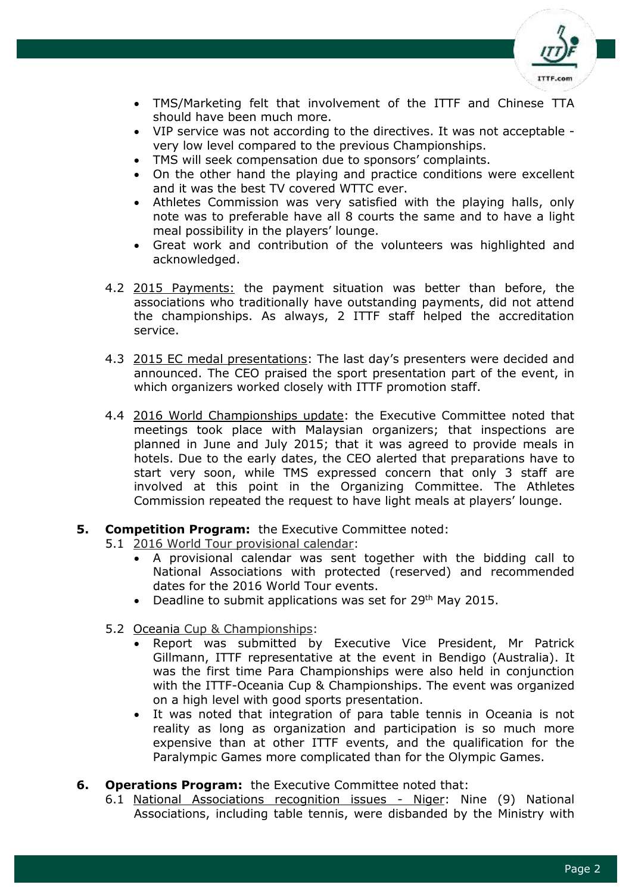

- TMS/Marketing felt that involvement of the ITTF and Chinese TTA should have been much more.
- VIP service was not according to the directives. It was not acceptable very low level compared to the previous Championships.
- TMS will seek compensation due to sponsors' complaints.
- On the other hand the playing and practice conditions were excellent and it was the best TV covered WTTC ever.
- Athletes Commission was very satisfied with the playing halls, only note was to preferable have all 8 courts the same and to have a light meal possibility in the players' lounge.
- Great work and contribution of the volunteers was highlighted and acknowledged.
- 4.2 2015 Payments: the payment situation was better than before, the associations who traditionally have outstanding payments, did not attend the championships. As always, 2 ITTF staff helped the accreditation service.
- 4.3 2015 EC medal presentations: The last day's presenters were decided and announced. The CEO praised the sport presentation part of the event, in which organizers worked closely with ITTF promotion staff.
- 4.4 2016 World Championships update: the Executive Committee noted that meetings took place with Malaysian organizers; that inspections are planned in June and July 2015; that it was agreed to provide meals in hotels. Due to the early dates, the CEO alerted that preparations have to start very soon, while TMS expressed concern that only 3 staff are involved at this point in the Organizing Committee. The Athletes Commission repeated the request to have light meals at players' lounge.

# **5. Competition Program:** the Executive Committee noted:

- 5.1 2016 World Tour provisional calendar:
	- A provisional calendar was sent together with the bidding call to National Associations with protected (reserved) and recommended dates for the 2016 World Tour events.
	- Deadline to submit applications was set for  $29<sup>th</sup>$  May 2015.
- 5.2 Oceania Cup & Championships:
	- Report was submitted by Executive Vice President, Mr Patrick Gillmann, ITTF representative at the event in Bendigo (Australia). It was the first time Para Championships were also held in conjunction with the ITTF-Oceania Cup & Championships. The event was organized on a high level with good sports presentation.
	- It was noted that integration of para table tennis in Oceania is not reality as long as organization and participation is so much more expensive than at other ITTF events, and the qualification for the Paralympic Games more complicated than for the Olympic Games.

#### **6. Operations Program:** the Executive Committee noted that:

6.1 National Associations recognition issues - Niger: Nine (9) National Associations, including table tennis, were disbanded by the Ministry with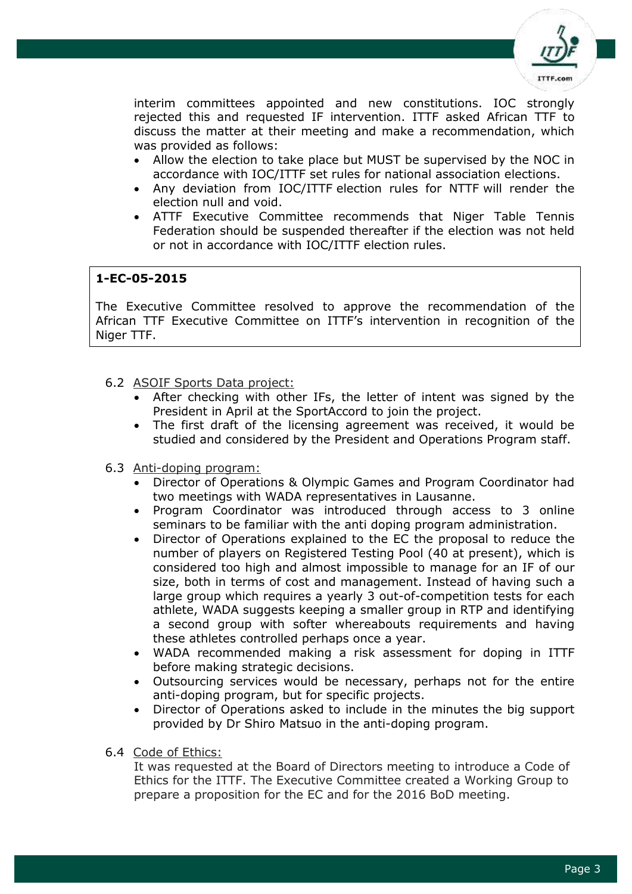

interim committees appointed and new constitutions. IOC strongly rejected this and requested IF intervention. ITTF asked African TTF to discuss the matter at their meeting and make a recommendation, which was provided as follows:

- Allow the election to take place but MUST be supervised by the NOC in accordance with IOC/ITTF set rules for national association elections.
- Any deviation from IOC/ITTF election rules for NTTF will render the election null and void.
- ATTF Executive Committee recommends that Niger Table Tennis Federation should be suspended thereafter if the election was not held or not in accordance with IOC/ITTF election rules.

# **1-EC-05-2015**

The Executive Committee resolved to approve the recommendation of the African TTF Executive Committee on ITTF's intervention in recognition of the Niger TTF.

- 6.2 ASOIF Sports Data project:
	- After checking with other IFs, the letter of intent was signed by the President in April at the SportAccord to join the project.
	- The first draft of the licensing agreement was received, it would be studied and considered by the President and Operations Program staff.
- 6.3 Anti-doping program:
	- Director of Operations & Olympic Games and Program Coordinator had two meetings with WADA representatives in Lausanne.
	- Program Coordinator was introduced through access to 3 online seminars to be familiar with the anti doping program administration.
	- Director of Operations explained to the EC the proposal to reduce the number of players on Registered Testing Pool (40 at present), which is considered too high and almost impossible to manage for an IF of our size, both in terms of cost and management. Instead of having such a large group which requires a yearly 3 out-of-competition tests for each athlete, WADA suggests keeping a smaller group in RTP and identifying a second group with softer whereabouts requirements and having these athletes controlled perhaps once a year.
	- WADA recommended making a risk assessment for doping in ITTF before making strategic decisions.
	- Outsourcing services would be necessary, perhaps not for the entire anti-doping program, but for specific projects.
	- Director of Operations asked to include in the minutes the big support provided by Dr Shiro Matsuo in the anti-doping program.
- 6.4 Code of Ethics:

It was requested at the Board of Directors meeting to introduce a Code of Ethics for the ITTF. The Executive Committee created a Working Group to prepare a proposition for the EC and for the 2016 BoD meeting.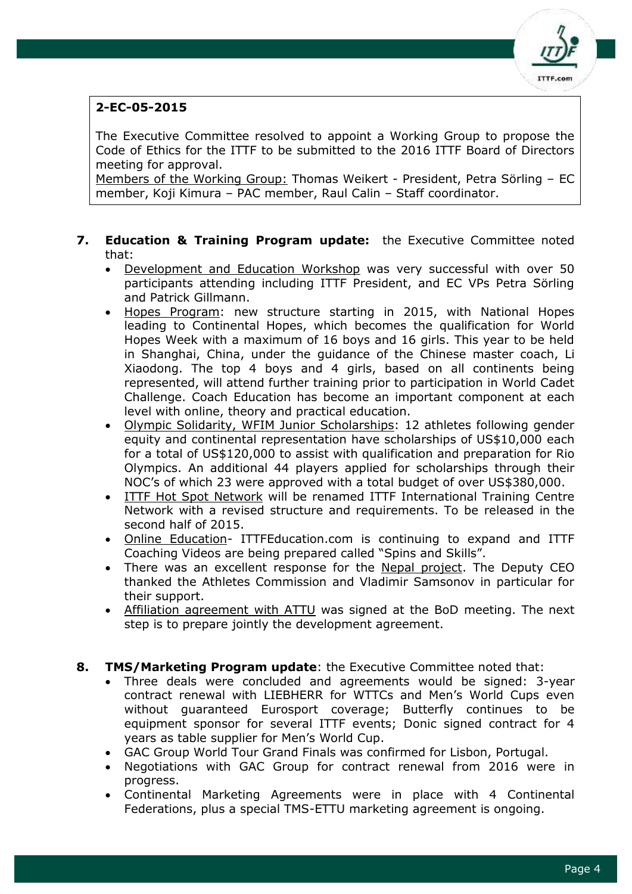

# **2-EC-05-2015**

The Executive Committee resolved to appoint a Working Group to propose the Code of Ethics for the ITTF to be submitted to the 2016 ITTF Board of Directors meeting for approval.

Members of the Working Group: Thomas Weikert - President, Petra Sörling – EC member, Koji Kimura – PAC member, Raul Calin – Staff coordinator.

### **7. Education & Training Program update:** the Executive Committee noted that:

- Development and Education Workshop was very successful with over 50 participants attending including ITTF President, and EC VPs Petra Sörling and Patrick Gillmann.
- Hopes Program: new structure starting in 2015, with National Hopes leading to Continental Hopes, which becomes the qualification for World Hopes Week with a maximum of 16 boys and 16 girls. This year to be held in Shanghai, China, under the guidance of the Chinese master coach, Li Xiaodong. The top 4 boys and 4 girls, based on all continents being represented, will attend further training prior to participation in World Cadet Challenge. Coach Education has become an important component at each level with online, theory and practical education.
- Olympic Solidarity, WFIM Junior Scholarships: 12 athletes following gender equity and continental representation have scholarships of US\$10,000 each for a total of US\$120,000 to assist with qualification and preparation for Rio Olympics. An additional 44 players applied for scholarships through their NOC's of which 23 were approved with a total budget of over US\$380,000.
- ITTF Hot Spot Network will be renamed ITTF International Training Centre Network with a revised structure and requirements. To be released in the second half of 2015.
- Online Education- ITTFEducation.com is continuing to expand and ITTF Coaching Videos are being prepared called "Spins and Skills".
- There was an excellent response for the Nepal project. The Deputy CEO thanked the Athletes Commission and Vladimir Samsonov in particular for their support.
- Affiliation agreement with ATTU was signed at the BoD meeting. The next step is to prepare jointly the development agreement.
- **8. TMS/Marketing Program update**: the Executive Committee noted that:
	- Three deals were concluded and agreements would be signed: 3-year contract renewal with LIEBHERR for WTTCs and Men's World Cups even without guaranteed Eurosport coverage; Butterfly continues to be equipment sponsor for several ITTF events; Donic signed contract for 4 years as table supplier for Men's World Cup.
	- GAC Group World Tour Grand Finals was confirmed for Lisbon, Portugal.
	- Negotiations with GAC Group for contract renewal from 2016 were in progress.
	- Continental Marketing Agreements were in place with 4 Continental Federations, plus a special TMS-ETTU marketing agreement is ongoing.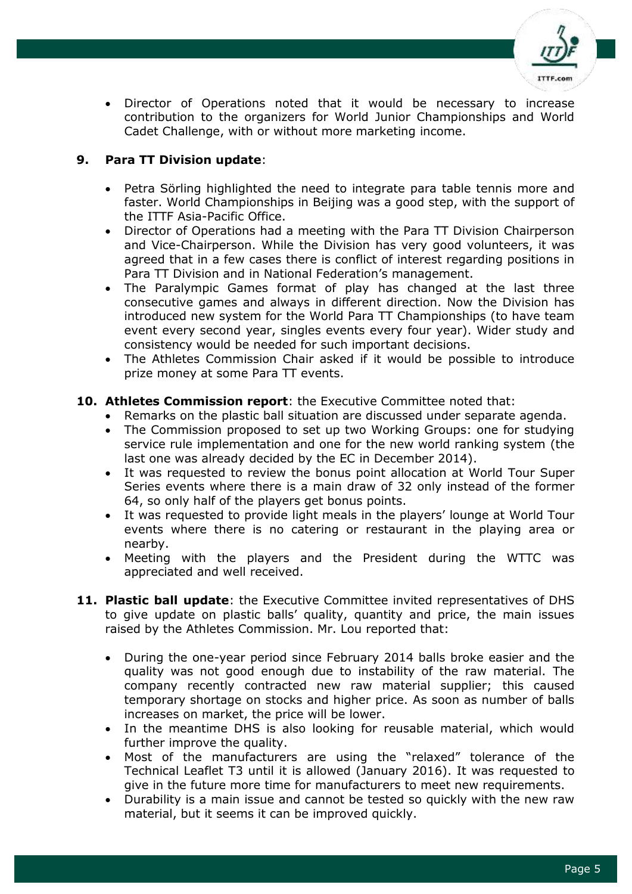

 Director of Operations noted that it would be necessary to increase contribution to the organizers for World Junior Championships and World Cadet Challenge, with or without more marketing income.

# **9. Para TT Division update**:

- Petra Sörling highlighted the need to integrate para table tennis more and faster. World Championships in Beijing was a good step, with the support of the ITTF Asia-Pacific Office.
- Director of Operations had a meeting with the Para TT Division Chairperson and Vice-Chairperson. While the Division has very good volunteers, it was agreed that in a few cases there is conflict of interest regarding positions in Para TT Division and in National Federation's management.
- The Paralympic Games format of play has changed at the last three consecutive games and always in different direction. Now the Division has introduced new system for the World Para TT Championships (to have team event every second year, singles events every four year). Wider study and consistency would be needed for such important decisions.
- The Athletes Commission Chair asked if it would be possible to introduce prize money at some Para TT events.

# **10. Athletes Commission report**: the Executive Committee noted that:

- Remarks on the plastic ball situation are discussed under separate agenda.
- The Commission proposed to set up two Working Groups: one for studying service rule implementation and one for the new world ranking system (the last one was already decided by the EC in December 2014).
- It was requested to review the bonus point allocation at World Tour Super Series events where there is a main draw of 32 only instead of the former 64, so only half of the players get bonus points.
- It was requested to provide light meals in the players' lounge at World Tour events where there is no catering or restaurant in the playing area or nearby.
- Meeting with the players and the President during the WTTC was appreciated and well received.
- **11. Plastic ball update**: the Executive Committee invited representatives of DHS to give update on plastic balls' quality, quantity and price, the main issues raised by the Athletes Commission. Mr. Lou reported that:
	- During the one-year period since February 2014 balls broke easier and the quality was not good enough due to instability of the raw material. The company recently contracted new raw material supplier; this caused temporary shortage on stocks and higher price. As soon as number of balls increases on market, the price will be lower.
	- In the meantime DHS is also looking for reusable material, which would further improve the quality.
	- Most of the manufacturers are using the "relaxed" tolerance of the Technical Leaflet T3 until it is allowed (January 2016). It was requested to give in the future more time for manufacturers to meet new requirements.
	- Durability is a main issue and cannot be tested so quickly with the new raw material, but it seems it can be improved quickly.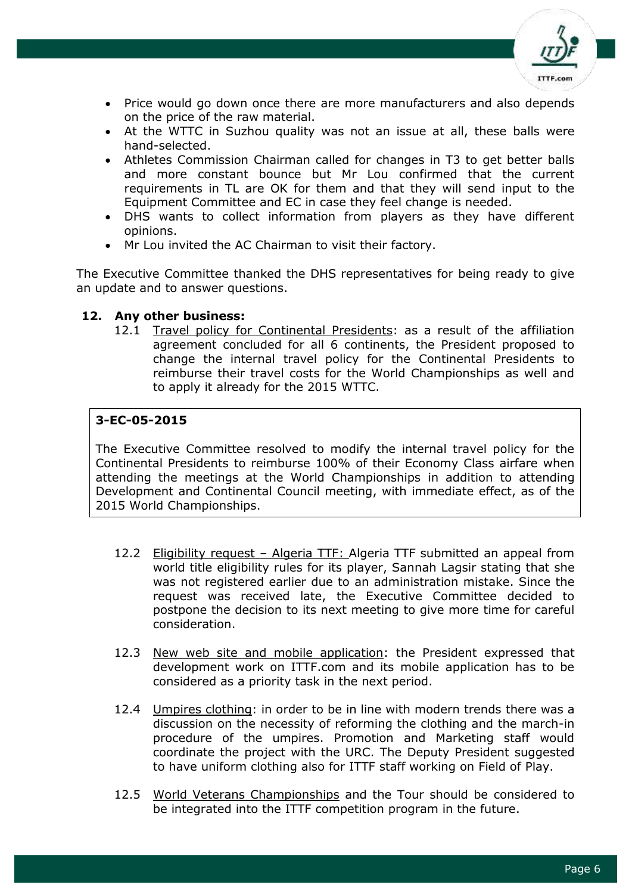

- Price would go down once there are more manufacturers and also depends on the price of the raw material.
- At the WTTC in Suzhou quality was not an issue at all, these balls were hand-selected.
- Athletes Commission Chairman called for changes in T3 to get better balls and more constant bounce but Mr Lou confirmed that the current requirements in TL are OK for them and that they will send input to the Equipment Committee and EC in case they feel change is needed.
- DHS wants to collect information from players as they have different opinions.
- Mr Lou invited the AC Chairman to visit their factory.

The Executive Committee thanked the DHS representatives for being ready to give an update and to answer questions.

### **12. Any other business:**

12.1 Travel policy for Continental Presidents: as a result of the affiliation agreement concluded for all 6 continents, the President proposed to change the internal travel policy for the Continental Presidents to reimburse their travel costs for the World Championships as well and to apply it already for the 2015 WTTC.

# **3-EC-05-2015**

The Executive Committee resolved to modify the internal travel policy for the Continental Presidents to reimburse 100% of their Economy Class airfare when attending the meetings at the World Championships in addition to attending Development and Continental Council meeting, with immediate effect, as of the 2015 World Championships.

- 12.2 Eligibility request Algeria TTF: Algeria TTF submitted an appeal from world title eligibility rules for its player, Sannah Lagsir stating that she was not registered earlier due to an administration mistake. Since the request was received late, the Executive Committee decided to postpone the decision to its next meeting to give more time for careful consideration.
- 12.3 New web site and mobile application: the President expressed that development work on ITTF.com and its mobile application has to be considered as a priority task in the next period.
- 12.4 Umpires clothing: in order to be in line with modern trends there was a discussion on the necessity of reforming the clothing and the march-in procedure of the umpires. Promotion and Marketing staff would coordinate the project with the URC. The Deputy President suggested to have uniform clothing also for ITTF staff working on Field of Play.
- 12.5 World Veterans Championships and the Tour should be considered to be integrated into the ITTF competition program in the future.